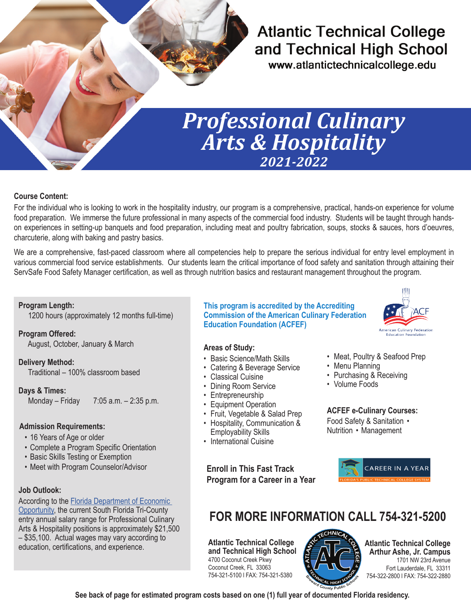## **Atlantic Technical College** and Technical High School

www.atlantictechnicalcollege.edu

# *Professional Culinary Arts & Hospitality 2021-2022*

#### **Course Content:**

For the individual who is looking to work in the hospitality industry, our program is a comprehensive, practical, hands-on experience for volume food preparation. We immerse the future professional in many aspects of the commercial food industry. Students will be taught through handson experiences in setting-up banquets and food preparation, including meat and poultry fabrication, soups, stocks & sauces, hors d'oeuvres, charcuterie, along with baking and pastry basics.

We are a comprehensive, fast-paced classroom where all competencies help to prepare the serious individual for entry level employment in various commercial food service establishments. Our students learn the critical importance of food safety and sanitation through attaining their ServSafe Food Safety Manager certification, as well as through nutrition basics and restaurant management throughout the program.

#### **Program Length:**

1200 hours (approximately 12 months full-time)

**Program Offered:** August, October, January & March

**Delivery Method:** Traditional – 100% classroom based

**Days & Times:**

Monday – Friday 7:05 a.m. – 2:35 p.m.

#### **Admission Requirements:**

- 16 Years of Age or older
- Complete a Program Specific Orientation
- Basic Skills Testing or Exemption
- Meet with Program Counselor/Advisor **Enroll in This Fast Track**

#### **Job Outlook:**

According to the [Florida Department of Economic](https://floridajobs.org/workforce-statistics/data-center/statistical-programs/occupational-employment-statistics-and-wages)  [Opportunity](https://floridajobs.org/workforce-statistics/data-center/statistical-programs/occupational-employment-statistics-and-wages), the current South Florida Tri-County entry annual salary range for Professional Culinary Arts & Hospitality positions is approximately \$21,500 – \$35,100. Actual wages may vary according to education, certifications, and experience.

**This program is accredited by the Accrediting Commission of the American Culinary Federation Education Foundation (ACFEF)**

#### **Areas of Study:**

- Basic Science/Math Skills
- Catering & Beverage Service
- Classical Cuisine
- Dining Room Service
- **Entrepreneurship**
- Equipment Operation
- Fruit, Vegetable & Salad Prep
- Hospitality, Communication &
- Employability Skills
- International Cuisine

**Program for a Career in a Year**

#### • Meat, Poultry & Seafood Prep

- Menu Planning
- Purchasing & Receiving
- Volume Foods

**ACFEF e-Culinary Courses:** Food Safety & Sanitation • Nutrition • Management



## **FOR MORE INFORMATION CALL 754-321-5200**

**Atlantic Technical College and Technical High School** 4700 Coconut Creek Pkwy Coconut Creek, FL 33063 754-321-5100 l FAX: 754-321-5380



**Atlantic Technical College Arthur Ashe, Jr. Campus** 1701 NW 23rd Avenue Fort Lauderdale, FL 33311 754-322-2800 l FAX: 754-322-2880

**See back of page for estimated program costs based on one (1) full year of documented Florida residency.**